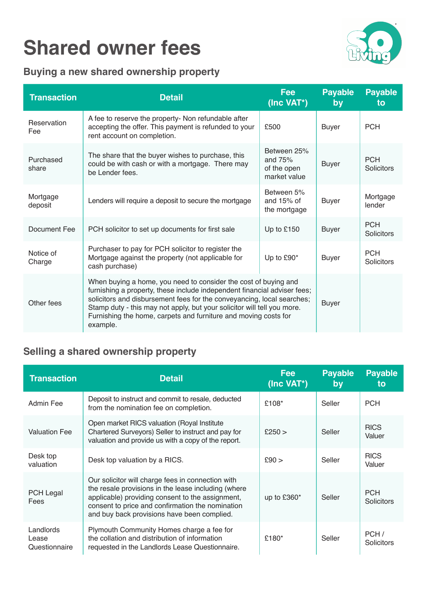# **Shared owner fees**



## **Buying a new shared ownership property**

| <b>Transaction</b>  | <b>Detail</b>                                                                                                                                                                                                                                                                                                                                                                   | <b>Fee</b><br>(Inc VAT*)                                | <b>Payable</b><br>by | <b>Payable</b><br>to     |
|---------------------|---------------------------------------------------------------------------------------------------------------------------------------------------------------------------------------------------------------------------------------------------------------------------------------------------------------------------------------------------------------------------------|---------------------------------------------------------|----------------------|--------------------------|
| Reservation<br>Fee  | A fee to reserve the property- Non refundable after<br>accepting the offer. This payment is refunded to your<br>rent account on completion.                                                                                                                                                                                                                                     | £500                                                    | <b>Buyer</b>         | <b>PCH</b>               |
| Purchased<br>share  | The share that the buyer wishes to purchase, this<br>could be with cash or with a mortgage. There may<br>be Lender fees.                                                                                                                                                                                                                                                        | Between 25%<br>and $75%$<br>of the open<br>market value | <b>Buyer</b>         | <b>PCH</b><br>Solicitors |
| Mortgage<br>deposit | Lenders will require a deposit to secure the mortgage                                                                                                                                                                                                                                                                                                                           | Between 5%<br>and $15%$ of<br>the mortgage              | <b>Buyer</b>         | Mortgage<br>lender       |
| Document Fee        | PCH solicitor to set up documents for first sale                                                                                                                                                                                                                                                                                                                                | Up to £150                                              | <b>Buyer</b>         | <b>PCH</b><br>Solicitors |
| Notice of<br>Charge | Purchaser to pay for PCH solicitor to register the<br>Mortgage against the property (not applicable for<br>cash purchase)                                                                                                                                                                                                                                                       | Up to £90*                                              | <b>Buyer</b>         | <b>PCH</b><br>Solicitors |
| Other fees          | When buying a home, you need to consider the cost of buying and<br>furnishing a property, these include independent financial adviser fees;<br>solicitors and disbursement fees for the conveyancing, local searches;<br>Stamp duty - this may not apply, but your solicitor will tell you more.<br>Furnishing the home, carpets and furniture and moving costs for<br>example. |                                                         | <b>Buyer</b>         |                          |

## **Selling a shared ownership property**

| <b>Transaction</b>                  | <b>Detail</b>                                                                                                                                                                                                                                                   | <b>Fee</b><br>(Inc VAT*) | <b>Payable</b><br>by | <b>Payable</b><br>to            |
|-------------------------------------|-----------------------------------------------------------------------------------------------------------------------------------------------------------------------------------------------------------------------------------------------------------------|--------------------------|----------------------|---------------------------------|
| Admin Fee                           | Deposit to instruct and commit to resale, deducted<br>from the nomination fee on completion.                                                                                                                                                                    | £108*                    | Seller               | <b>PCH</b>                      |
| <b>Valuation Fee</b>                | Open market RICS valuation (Royal Institute<br>Chartered Surveyors) Seller to instruct and pay for<br>valuation and provide us with a copy of the report.                                                                                                       | £250 >                   | Seller               | <b>RICS</b><br>Valuer           |
| Desk top<br>valuation               | Desk top valuation by a RICS.                                                                                                                                                                                                                                   | £90>                     | Seller               | <b>RICS</b><br>Valuer           |
| <b>PCH Legal</b><br>Fees            | Our solicitor will charge fees in connection with<br>the resale provisions in the lease including (where<br>applicable) providing consent to the assignment,<br>consent to price and confirmation the nomination<br>and buy back provisions have been complied. | up to $£360*$            | Seller               | <b>PCH</b><br><b>Solicitors</b> |
| Landlords<br>Lease<br>Questionnaire | Plymouth Community Homes charge a fee for<br>the collation and distribution of information<br>requested in the Landlords Lease Questionnaire.                                                                                                                   | £180*                    | Seller               | PCH /<br><b>Solicitors</b>      |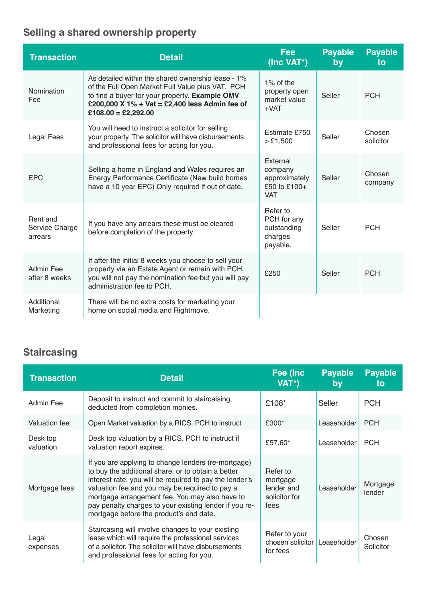# **Selling a shared ownership property**

| <b>Transaction</b>                    | <b>Detail</b>                                                                                                                                                                                                                       | Fee<br>(Inc VAT*)                                                  | <b>Payable</b><br>by | <b>Payable</b><br>to |
|---------------------------------------|-------------------------------------------------------------------------------------------------------------------------------------------------------------------------------------------------------------------------------------|--------------------------------------------------------------------|----------------------|----------------------|
| Nomination<br>Fee                     | As detailed within the shared ownership lease - 1%<br>of the Full Open Market Full Value plus VAT. PCH<br>to find a buyer for your property. Example OMV<br>£200,000 X 1% + Vat = £2,400 less Admin fee of<br>$£108.00 = £2,292.00$ | $1\%$ of the<br>property open<br>market value<br>$+VAT$            | Seller               | <b>PCH</b>           |
| Legal Fees                            | You will need to instruct a solicitor for selling<br>your property. The solicitor will have disbursements<br>and professional fees for acting for you.                                                                              | Estimate £750<br>> £1,500                                          | Seller               | Chosen<br>solicitor  |
| <b>EPC</b>                            | Selling a home in England and Wales requires an<br>Energy Performance Certificate (New build homes<br>have a 10 year EPC) Only required if out of date.                                                                             | External<br>company<br>approximately<br>£50 to £100+<br><b>VAT</b> | Seller               | Chosen<br>company    |
| Rent and<br>Service Charge<br>arrears | If you have any arrears these must be cleared<br>before completion of the property.                                                                                                                                                 | Refer to<br>PCH for any<br>outstanding<br>charges<br>payable.      | Seller               | <b>PCH</b>           |
| Admin Fee<br>after 8 weeks            | If after the initial 8 weeks you choose to sell your<br>property via an Estate Agent or remain with PCH,<br>you will not pay the nomination fee but you will pay<br>administration fee to PCH.                                      | £250                                                               | Seller               | <b>PCH</b>           |
| Additional<br>Marketing               | There will be no extra costs for marketing your<br>home on social media and Rightmove.                                                                                                                                              |                                                                    |                      |                      |

## **Staircasing**

| <b>Transaction</b>    | <b>Detail</b>                                                                                                                                                                                                                                                                                                                                                                 | Fee (Inc<br>VAT*)                                           | <b>Payable</b><br>by | <b>Payable</b><br>to |
|-----------------------|-------------------------------------------------------------------------------------------------------------------------------------------------------------------------------------------------------------------------------------------------------------------------------------------------------------------------------------------------------------------------------|-------------------------------------------------------------|----------------------|----------------------|
| Admin Fee             | Deposit to instruct and commit to staircaising,<br>deducted from completion monies.                                                                                                                                                                                                                                                                                           | £108*                                                       | Seller               | <b>PCH</b>           |
| Valuation fee         | Open Market valuation by a RICS. PCH to instruct                                                                                                                                                                                                                                                                                                                              | £300*                                                       | Leaseholder          | <b>PCH</b>           |
| Desk top<br>valuation | Desk top valuation by a RICS. PCH to instruct if<br>valuation report expires.                                                                                                                                                                                                                                                                                                 | £57.60*                                                     | Leaseholder          | <b>PCH</b>           |
| Mortgage fees         | If you are applying to change lenders (re-mortgage)<br>to buy the additional share, or to obtain a better<br>interest rate, you will be required to pay the lender's<br>valuation fee and you may be required to pay a<br>mortgage arrangement fee. You may also have to<br>pay penalty charges to your existing lender if you re-<br>mortgage before the product's end date. | Refer to<br>mortgage<br>lender and<br>solicitor for<br>fees | Leaseholder          | Mortgage<br>lender   |
| Legal<br>expenses     | Staircasing will involve changes to your existing<br>lease which will require the professional services<br>of a solicitor. The solicitor will have disbursements<br>and professional fees for acting for you.                                                                                                                                                                 | Refer to your<br>chosen solicitor<br>for fees               | Leaseholder          | Chosen<br>Solicitor  |